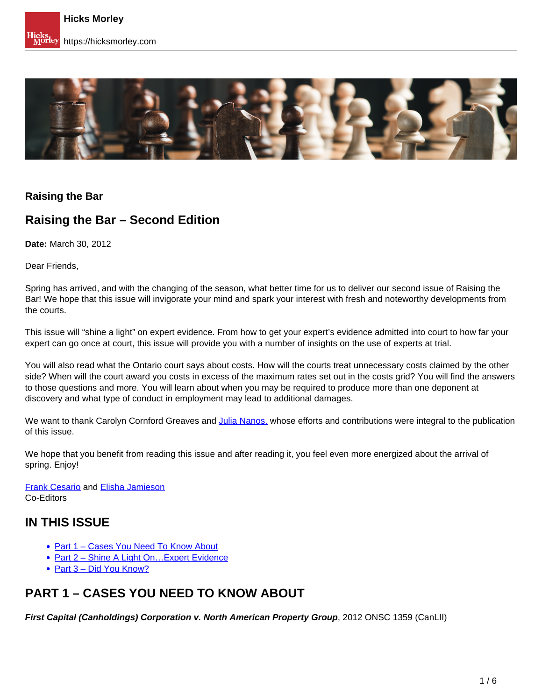

#### **Raising the Bar**

## **Raising the Bar – Second Edition**

**Date:** March 30, 2012

Dear Friends,

Spring has arrived, and with the changing of the season, what better time for us to deliver our second issue of Raising the Bar! We hope that this issue will invigorate your mind and spark your interest with fresh and noteworthy developments from the courts.

This issue will "shine a light" on expert evidence. From how to get your expert's evidence admitted into court to how far your expert can go once at court, this issue will provide you with a number of insights on the use of experts at trial.

You will also read what the Ontario court says about costs. How will the courts treat unnecessary costs claimed by the other side? When will the court award you costs in excess of the maximum rates set out in the costs grid? You will find the answers to those questions and more. You will learn about when you may be required to produce more than one deponent at discovery and what type of conduct in employment may lead to additional damages.

We want to thank Carolyn Cornford Greaves and [Julia Nanos,](https://hicksmorley.com/people/julia-m-nanos/) whose efforts and contributions were integral to the publication of this issue.

We hope that you benefit from reading this issue and after reading it, you feel even more energized about the arrival of spring. Enjoy!

Frank Cesario and Elisha Jamieson Co-Editors

### **IN THIS ISSUE**

- Part 1 Cases You Need To Know About
- Part 2 Shine A Light On... Expert Evidence
- Part 3 Did You Know?

## **PART 1 – CASES YOU NEED TO KNOW ABOUT**

**First Capital (Canholdings) Corporation v. North American Property Group**, 2012 ONSC 1359 (CanLII)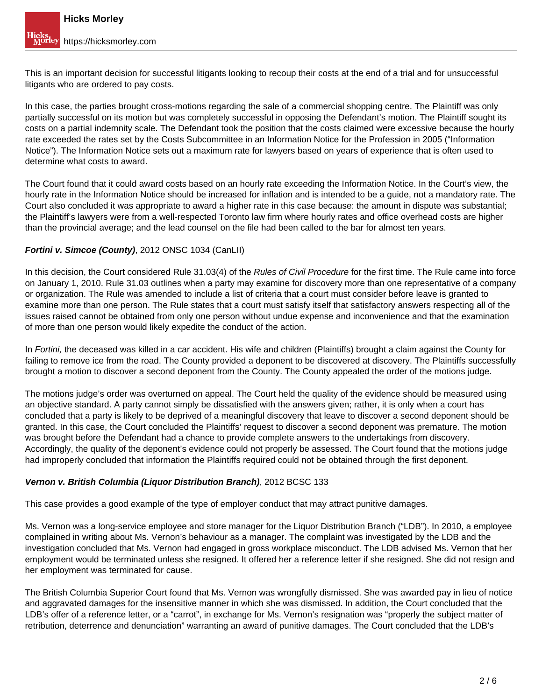This is an important decision for successful litigants looking to recoup their costs at the end of a trial and for unsuccessful litigants who are ordered to pay costs.

In this case, the parties brought cross-motions regarding the sale of a commercial shopping centre. The Plaintiff was only partially successful on its motion but was completely successful in opposing the Defendant's motion. The Plaintiff sought its costs on a partial indemnity scale. The Defendant took the position that the costs claimed were excessive because the hourly rate exceeded the rates set by the Costs Subcommittee in an Information Notice for the Profession in 2005 ("Information Notice"). The Information Notice sets out a maximum rate for lawyers based on years of experience that is often used to determine what costs to award.

The Court found that it could award costs based on an hourly rate exceeding the Information Notice. In the Court's view, the hourly rate in the Information Notice should be increased for inflation and is intended to be a guide, not a mandatory rate. The Court also concluded it was appropriate to award a higher rate in this case because: the amount in dispute was substantial; the Plaintiff's lawyers were from a well-respected Toronto law firm where hourly rates and office overhead costs are higher than the provincial average; and the lead counsel on the file had been called to the bar for almost ten years.

#### **Fortini v. Simcoe (County)**, 2012 ONSC 1034 (CanLII)

In this decision, the Court considered Rule 31.03(4) of the Rules of Civil Procedure for the first time. The Rule came into force on January 1, 2010. Rule 31.03 outlines when a party may examine for discovery more than one representative of a company or organization. The Rule was amended to include a list of criteria that a court must consider before leave is granted to examine more than one person. The Rule states that a court must satisfy itself that satisfactory answers respecting all of the issues raised cannot be obtained from only one person without undue expense and inconvenience and that the examination of more than one person would likely expedite the conduct of the action.

In Fortini, the deceased was killed in a car accident. His wife and children (Plaintiffs) brought a claim against the County for failing to remove ice from the road. The County provided a deponent to be discovered at discovery. The Plaintiffs successfully brought a motion to discover a second deponent from the County. The County appealed the order of the motions judge.

The motions judge's order was overturned on appeal. The Court held the quality of the evidence should be measured using an objective standard. A party cannot simply be dissatisfied with the answers given; rather, it is only when a court has concluded that a party is likely to be deprived of a meaningful discovery that leave to discover a second deponent should be granted. In this case, the Court concluded the Plaintiffs' request to discover a second deponent was premature. The motion was brought before the Defendant had a chance to provide complete answers to the undertakings from discovery. Accordingly, the quality of the deponent's evidence could not properly be assessed. The Court found that the motions judge had improperly concluded that information the Plaintiffs required could not be obtained through the first deponent.

#### **Vernon v. British Columbia (Liquor Distribution Branch)**, 2012 BCSC 133

This case provides a good example of the type of employer conduct that may attract punitive damages.

Ms. Vernon was a long-service employee and store manager for the Liquor Distribution Branch ("LDB"). In 2010, a employee complained in writing about Ms. Vernon's behaviour as a manager. The complaint was investigated by the LDB and the investigation concluded that Ms. Vernon had engaged in gross workplace misconduct. The LDB advised Ms. Vernon that her employment would be terminated unless she resigned. It offered her a reference letter if she resigned. She did not resign and her employment was terminated for cause.

The British Columbia Superior Court found that Ms. Vernon was wrongfully dismissed. She was awarded pay in lieu of notice and aggravated damages for the insensitive manner in which she was dismissed. In addition, the Court concluded that the LDB's offer of a reference letter, or a "carrot", in exchange for Ms. Vernon's resignation was "properly the subject matter of retribution, deterrence and denunciation" warranting an award of punitive damages. The Court concluded that the LDB's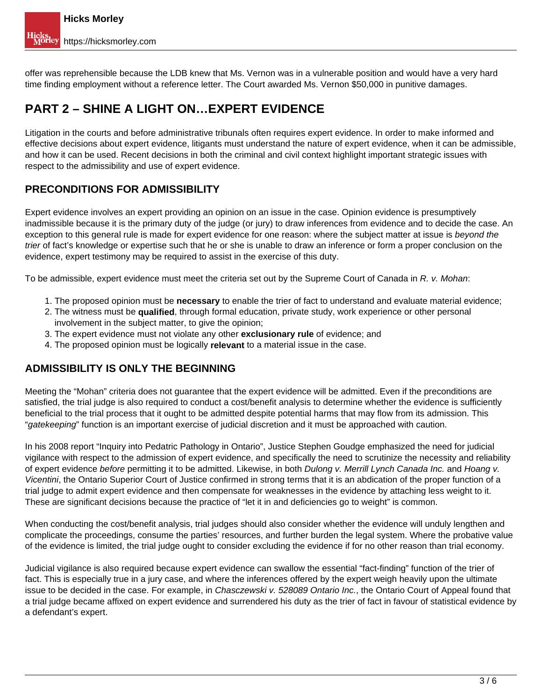offer was reprehensible because the LDB knew that Ms. Vernon was in a vulnerable position and would have a very hard time finding employment without a reference letter. The Court awarded Ms. Vernon \$50,000 in punitive damages.

## **PART 2 – SHINE A LIGHT ON…EXPERT EVIDENCE**

Litigation in the courts and before administrative tribunals often requires expert evidence. In order to make informed and effective decisions about expert evidence, litigants must understand the nature of expert evidence, when it can be admissible, and how it can be used. Recent decisions in both the criminal and civil context highlight important strategic issues with respect to the admissibility and use of expert evidence.

#### **PRECONDITIONS FOR ADMISSIBILITY**

Expert evidence involves an expert providing an opinion on an issue in the case. Opinion evidence is presumptively inadmissible because it is the primary duty of the judge (or jury) to draw inferences from evidence and to decide the case. An exception to this general rule is made for expert evidence for one reason: where the subject matter at issue is beyond the trier of fact's knowledge or expertise such that he or she is unable to draw an inference or form a proper conclusion on the evidence, expert testimony may be required to assist in the exercise of this duty.

To be admissible, expert evidence must meet the criteria set out by the Supreme Court of Canada in R. v. Mohan:

- 1. The proposed opinion must be **necessary** to enable the trier of fact to understand and evaluate material evidence;
- 2. The witness must be **qualified**, through formal education, private study, work experience or other personal involvement in the subject matter, to give the opinion;
- 3. The expert evidence must not violate any other **exclusionary rule** of evidence; and
- 4. The proposed opinion must be logically **relevant** to a material issue in the case.

#### **ADMISSIBILITY IS ONLY THE BEGINNING**

Meeting the "Mohan" criteria does not guarantee that the expert evidence will be admitted. Even if the preconditions are satisfied, the trial judge is also required to conduct a cost/benefit analysis to determine whether the evidence is sufficiently beneficial to the trial process that it ought to be admitted despite potential harms that may flow from its admission. This "gatekeeping" function is an important exercise of judicial discretion and it must be approached with caution.

In his 2008 report "Inquiry into Pedatric Pathology in Ontario", Justice Stephen Goudge emphasized the need for judicial vigilance with respect to the admission of expert evidence, and specifically the need to scrutinize the necessity and reliability of expert evidence before permitting it to be admitted. Likewise, in both Dulong v. Merrill Lynch Canada Inc. and Hoang v. Vicentini, the Ontario Superior Court of Justice confirmed in strong terms that it is an abdication of the proper function of a trial judge to admit expert evidence and then compensate for weaknesses in the evidence by attaching less weight to it. These are significant decisions because the practice of "let it in and deficiencies go to weight" is common.

When conducting the cost/benefit analysis, trial judges should also consider whether the evidence will unduly lengthen and complicate the proceedings, consume the parties' resources, and further burden the legal system. Where the probative value of the evidence is limited, the trial judge ought to consider excluding the evidence if for no other reason than trial economy.

Judicial vigilance is also required because expert evidence can swallow the essential "fact-finding" function of the trier of fact. This is especially true in a jury case, and where the inferences offered by the expert weigh heavily upon the ultimate issue to be decided in the case. For example, in Chasczewski v. 528089 Ontario Inc., the Ontario Court of Appeal found that a trial judge became affixed on expert evidence and surrendered his duty as the trier of fact in favour of statistical evidence by a defendant's expert.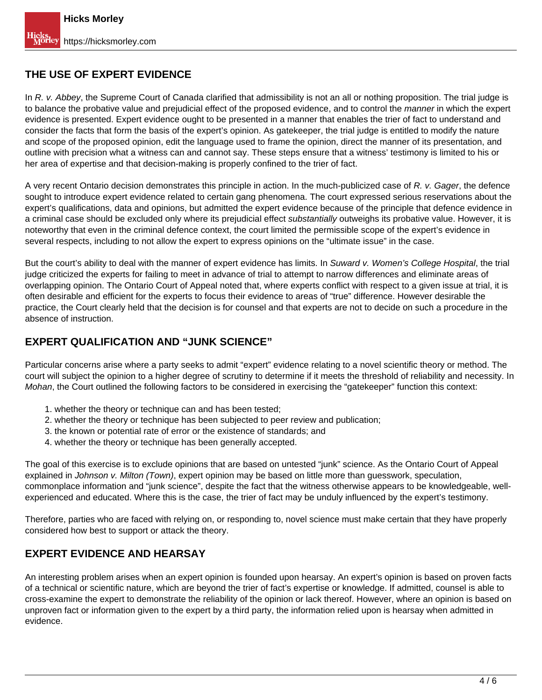#### **THE USE OF EXPERT EVIDENCE**

In R. v. Abbey, the Supreme Court of Canada clarified that admissibility is not an all or nothing proposition. The trial judge is to balance the probative value and prejudicial effect of the proposed evidence, and to control the manner in which the expert evidence is presented. Expert evidence ought to be presented in a manner that enables the trier of fact to understand and consider the facts that form the basis of the expert's opinion. As gatekeeper, the trial judge is entitled to modify the nature and scope of the proposed opinion, edit the language used to frame the opinion, direct the manner of its presentation, and outline with precision what a witness can and cannot say. These steps ensure that a witness' testimony is limited to his or her area of expertise and that decision-making is properly confined to the trier of fact.

A very recent Ontario decision demonstrates this principle in action. In the much-publicized case of R. v. Gager, the defence sought to introduce expert evidence related to certain gang phenomena. The court expressed serious reservations about the expert's qualifications, data and opinions, but admitted the expert evidence because of the principle that defence evidence in a criminal case should be excluded only where its prejudicial effect substantially outweighs its probative value. However, it is noteworthy that even in the criminal defence context, the court limited the permissible scope of the expert's evidence in several respects, including to not allow the expert to express opinions on the "ultimate issue" in the case.

But the court's ability to deal with the manner of expert evidence has limits. In Suward v. Women's College Hospital, the trial judge criticized the experts for failing to meet in advance of trial to attempt to narrow differences and eliminate areas of overlapping opinion. The Ontario Court of Appeal noted that, where experts conflict with respect to a given issue at trial, it is often desirable and efficient for the experts to focus their evidence to areas of "true" difference. However desirable the practice, the Court clearly held that the decision is for counsel and that experts are not to decide on such a procedure in the absence of instruction.

#### **EXPERT QUALIFICATION AND "JUNK SCIENCE"**

Particular concerns arise where a party seeks to admit "expert" evidence relating to a novel scientific theory or method. The court will subject the opinion to a higher degree of scrutiny to determine if it meets the threshold of reliability and necessity. In Mohan, the Court outlined the following factors to be considered in exercising the "gatekeeper" function this context:

- 1. whether the theory or technique can and has been tested;
- 2. whether the theory or technique has been subjected to peer review and publication;
- 3. the known or potential rate of error or the existence of standards; and
- 4. whether the theory or technique has been generally accepted.

The goal of this exercise is to exclude opinions that are based on untested "junk" science. As the Ontario Court of Appeal explained in Johnson v. Milton (Town), expert opinion may be based on little more than guesswork, speculation, commonplace information and "junk science", despite the fact that the witness otherwise appears to be knowledgeable, wellexperienced and educated. Where this is the case, the trier of fact may be unduly influenced by the expert's testimony.

Therefore, parties who are faced with relying on, or responding to, novel science must make certain that they have properly considered how best to support or attack the theory.

#### **EXPERT EVIDENCE AND HEARSAY**

An interesting problem arises when an expert opinion is founded upon hearsay. An expert's opinion is based on proven facts of a technical or scientific nature, which are beyond the trier of fact's expertise or knowledge. If admitted, counsel is able to cross-examine the expert to demonstrate the reliability of the opinion or lack thereof. However, where an opinion is based on unproven fact or information given to the expert by a third party, the information relied upon is hearsay when admitted in evidence.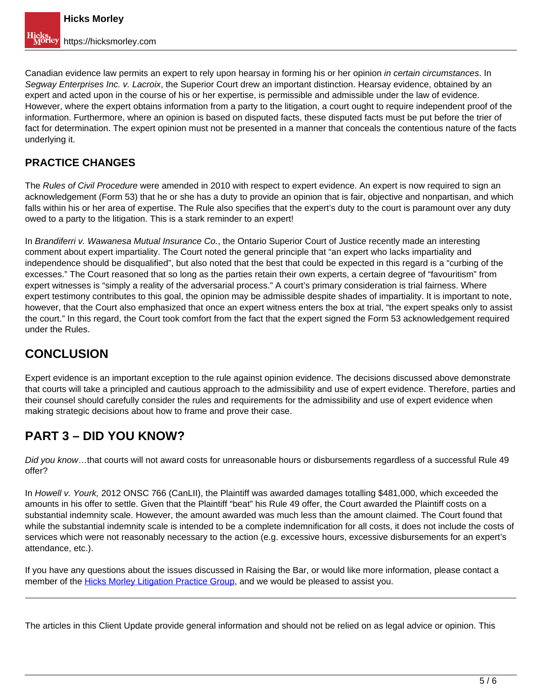Canadian evidence law permits an expert to rely upon hearsay in forming his or her opinion in certain circumstances. In Segway Enterprises Inc. v. Lacroix, the Superior Court drew an important distinction. Hearsay evidence, obtained by an expert and acted upon in the course of his or her expertise, is permissible and admissible under the law of evidence. However, where the expert obtains information from a party to the litigation, a court ought to require independent proof of the information. Furthermore, where an opinion is based on disputed facts, these disputed facts must be put before the trier of fact for determination. The expert opinion must not be presented in a manner that conceals the contentious nature of the facts underlying it.

### **PRACTICE CHANGES**

The Rules of Civil Procedure were amended in 2010 with respect to expert evidence. An expert is now required to sign an acknowledgement (Form 53) that he or she has a duty to provide an opinion that is fair, objective and nonpartisan, and which falls within his or her area of expertise. The Rule also specifies that the expert's duty to the court is paramount over any duty owed to a party to the litigation. This is a stark reminder to an expert!

In Brandiferri v. Wawanesa Mutual Insurance Co., the Ontario Superior Court of Justice recently made an interesting comment about expert impartiality. The Court noted the general principle that "an expert who lacks impartiality and independence should be disqualified", but also noted that the best that could be expected in this regard is a "curbing of the excesses." The Court reasoned that so long as the parties retain their own experts, a certain degree of "favouritism" from expert witnesses is "simply a reality of the adversarial process." A court's primary consideration is trial fairness. Where expert testimony contributes to this goal, the opinion may be admissible despite shades of impartiality. It is important to note, however, that the Court also emphasized that once an expert witness enters the box at trial, "the expert speaks only to assist the court." In this regard, the Court took comfort from the fact that the expert signed the Form 53 acknowledgement required under the Rules.

# **CONCLUSION**

Expert evidence is an important exception to the rule against opinion evidence. The decisions discussed above demonstrate that courts will take a principled and cautious approach to the admissibility and use of expert evidence. Therefore, parties and their counsel should carefully consider the rules and requirements for the admissibility and use of expert evidence when making strategic decisions about how to frame and prove their case.

# **PART 3 – DID YOU KNOW?**

Did you know...that courts will not award costs for unreasonable hours or disbursements regardless of a successful Rule 49 offer?

In Howell v. Yourk, 2012 ONSC 766 (CanLII), the Plaintiff was awarded damages totalling \$481,000, which exceeded the amounts in his offer to settle. Given that the Plaintiff "beat" his Rule 49 offer, the Court awarded the Plaintiff costs on a substantial indemnity scale. However, the amount awarded was much less than the amount claimed. The Court found that while the substantial indemnity scale is intended to be a complete indemnification for all costs, it does not include the costs of services which were not reasonably necessary to the action (e.g. excessive hours, excessive disbursements for an expert's attendance, etc.).

If you have any questions about the issues discussed in Raising the Bar, or would like more information, please contact a member of the Hicks Morley Litigation Practice Group, and we would be pleased to assist you.

The articles in this Client Update provide general information and should not be relied on as legal advice or opinion. This